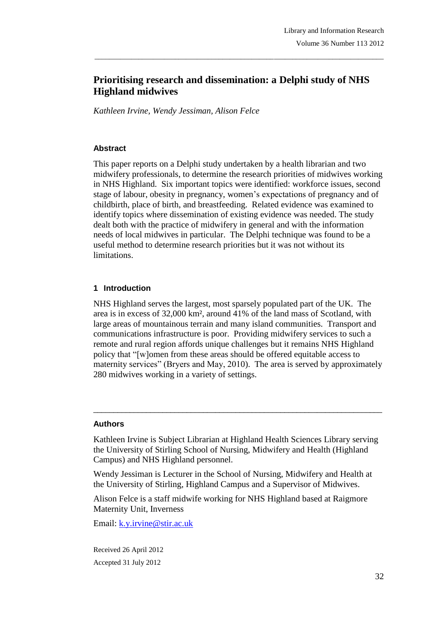# **Prioritising research and dissemination: a Delphi study of NHS Highland midwives**

\_\_\_\_\_\_\_\_\_\_\_\_\_\_\_\_\_\_\_\_\_\_\_\_\_\_\_\_\_\_\_\_\_\_\_\_\_\_\_\_\_\_\_\_\_\_\_\_\_\_\_\_\_\_\_\_\_\_\_\_\_\_\_\_\_\_\_\_\_\_\_\_\_\_\_\_\_\_\_

*Kathleen Irvine, Wendy Jessiman, Alison Felce*

### **Abstract**

This paper reports on a Delphi study undertaken by a health librarian and two midwifery professionals, to determine the research priorities of midwives working in NHS Highland. Six important topics were identified: workforce issues, second stage of labour, obesity in pregnancy, women's expectations of pregnancy and of childbirth, place of birth, and breastfeeding. Related evidence was examined to identify topics where dissemination of existing evidence was needed. The study dealt both with the practice of midwifery in general and with the information needs of local midwives in particular. The Delphi technique was found to be a useful method to determine research priorities but it was not without its limitations.

# **1 Introduction**

NHS Highland serves the largest, most sparsely populated part of the UK. The area is in excess of 32,000 km², around 41% of the land mass of Scotland, with large areas of mountainous terrain and many island communities. Transport and communications infrastructure is poor. Providing midwifery services to such a remote and rural region affords unique challenges but it remains NHS Highland policy that "[w]omen from these areas should be offered equitable access to maternity services" (Bryers and May, 2010). The area is served by approximately 280 midwives working in a variety of settings.

### **Authors**

Kathleen Irvine is Subject Librarian at Highland Health Sciences Library serving the University of Stirling School of Nursing, Midwifery and Health (Highland Campus) and NHS Highland personnel.

\_\_\_\_\_\_\_\_\_\_\_\_\_\_\_\_\_\_\_\_\_\_\_\_\_\_\_\_\_\_\_\_\_\_\_\_\_\_\_\_\_\_\_\_\_\_\_\_\_\_\_\_\_\_\_\_\_\_\_\_\_\_\_\_\_\_\_\_\_\_\_

Wendy Jessiman is Lecturer in the School of Nursing, Midwifery and Health at the University of Stirling, Highland Campus and a Supervisor of Midwives.

Alison Felce is a staff midwife working for NHS Highland based at Raigmore Maternity Unit, Inverness

Email: k.y.irvine@stir.ac.uk

Received 26 April 2012 Accepted 31 July 2012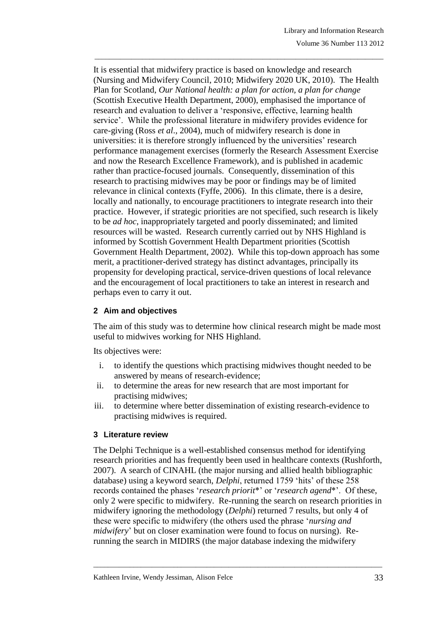It is essential that midwifery practice is based on knowledge and research (Nursing and Midwifery Council, 2010; Midwifery 2020 UK, 2010). The Health Plan for Scotland, *Our National health: a plan for action, a plan for change*  (Scottish Executive Health Department, 2000), emphasised the importance of research and evaluation to deliver a 'responsive, effective, learning health service'. While the professional literature in midwifery provides evidence for care-giving (Ross *et al*., 2004), much of midwifery research is done in universities: it is therefore strongly influenced by the universities' research performance management exercises (formerly the Research Assessment Exercise and now the Research Excellence Framework), and is published in academic rather than practice-focused journals. Consequently, dissemination of this research to practising midwives may be poor or findings may be of limited relevance in clinical contexts (Fyffe, 2006). In this climate, there is a desire, locally and nationally, to encourage practitioners to integrate research into their practice. However, if strategic priorities are not specified, such research is likely to be *ad hoc*, inappropriately targeted and poorly disseminated; and limited resources will be wasted. Research currently carried out by NHS Highland is informed by Scottish Government Health Department priorities (Scottish Government Health Department, 2002). While this top-down approach has some merit, a practitioner-derived strategy has distinct advantages, principally its propensity for developing practical, service-driven questions of local relevance and the encouragement of local practitioners to take an interest in research and perhaps even to carry it out.

\_\_\_\_\_\_\_\_\_\_\_\_\_\_\_\_\_\_\_\_\_\_\_\_\_\_\_\_\_\_\_\_\_\_\_\_\_\_\_\_\_\_\_\_\_\_\_\_\_\_\_\_\_\_\_\_\_\_\_\_\_\_\_\_\_\_\_\_\_\_\_\_\_\_\_\_\_\_\_

# **2 Aim and objectives**

The aim of this study was to determine how clinical research might be made most useful to midwives working for NHS Highland.

Its objectives were:

- i. to identify the questions which practising midwives thought needed to be answered by means of research-evidence;
- ii. to determine the areas for new research that are most important for practising midwives;
- iii. to determine where better dissemination of existing research-evidence to practising midwives is required.

### **3 Literature review**

The Delphi Technique is a well-established consensus method for identifying research priorities and has frequently been used in healthcare contexts (Rushforth, 2007). A search of CINAHL (the major nursing and allied health bibliographic database) using a keyword search, *Delphi*, returned 1759 'hits' of these 258 records contained the phases '*research priorit*\*' or '*research agend*\*'. Of these, only 2 were specific to midwifery. Re-running the search on research priorities in midwifery ignoring the methodology (*Delphi*) returned 7 results, but only 4 of these were specific to midwifery (the others used the phrase '*nursing and midwifery*' but on closer examination were found to focus on nursing). Rerunning the search in MIDIRS (the major database indexing the midwifery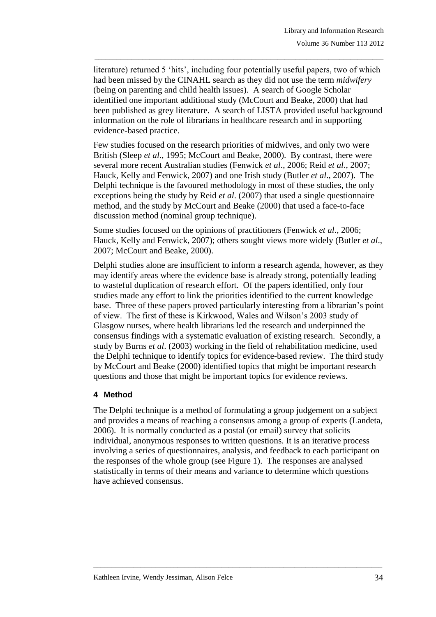literature) returned 5 'hits', including four potentially useful papers, two of which had been missed by the CINAHL search as they did not use the term *midwifery* (being on parenting and child health issues). A search of Google Scholar identified one important additional study (McCourt and Beake, 2000) that had been published as grey literature. A search of LISTA provided useful background information on the role of librarians in healthcare research and in supporting evidence-based practice.

\_\_\_\_\_\_\_\_\_\_\_\_\_\_\_\_\_\_\_\_\_\_\_\_\_\_\_\_\_\_\_\_\_\_\_\_\_\_\_\_\_\_\_\_\_\_\_\_\_\_\_\_\_\_\_\_\_\_\_\_\_\_\_\_\_\_\_\_\_\_\_\_\_\_\_\_\_\_\_

Few studies focused on the research priorities of midwives, and only two were British (Sleep *et al*., 1995; McCourt and Beake, 2000). By contrast, there were several more recent Australian studies (Fenwick *et al*., 2006; Reid *et al*., 2007; Hauck, Kelly and Fenwick, 2007) and one Irish study (Butler *et al*., 2007). The Delphi technique is the favoured methodology in most of these studies, the only exceptions being the study by Reid *et al*. (2007) that used a single questionnaire method, and the study by McCourt and Beake (2000) that used a face-to-face discussion method (nominal group technique).

Some studies focused on the opinions of practitioners (Fenwick *et al*., 2006; Hauck, Kelly and Fenwick, 2007); others sought views more widely (Butler *et al*., 2007; McCourt and Beake, 2000).

Delphi studies alone are insufficient to inform a research agenda, however, as they may identify areas where the evidence base is already strong, potentially leading to wasteful duplication of research effort. Of the papers identified, only four studies made any effort to link the priorities identified to the current knowledge base. Three of these papers proved particularly interesting from a librarian's point of view. The first of these is Kirkwood, Wales and Wilson's 2003 study of Glasgow nurses, where health librarians led the research and underpinned the consensus findings with a systematic evaluation of existing research. Secondly, a study by Burns *et al*. (2003) working in the field of rehabilitation medicine, used the Delphi technique to identify topics for evidence-based review. The third study by McCourt and Beake (2000) identified topics that might be important research questions and those that might be important topics for evidence reviews.

### **4 Method**

The Delphi technique is a method of formulating a group judgement on a subject and provides a means of reaching a consensus among a group of experts (Landeta, 2006). It is normally conducted as a postal (or email) survey that solicits individual, anonymous responses to written questions. It is an iterative process involving a series of questionnaires, analysis, and feedback to each participant on the responses of the whole group (see Figure 1). The responses are analysed statistically in terms of their means and variance to determine which questions have achieved consensus.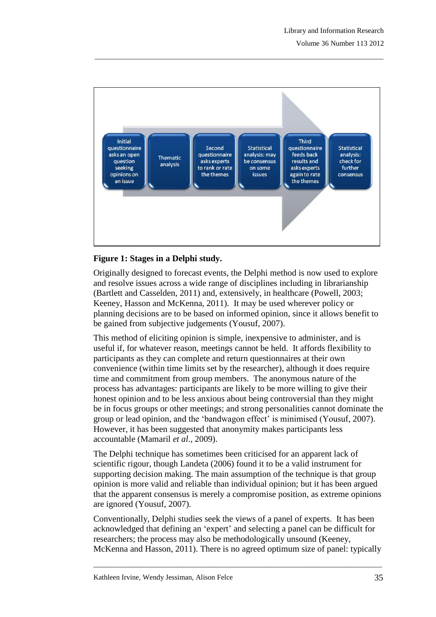

\_\_\_\_\_\_\_\_\_\_\_\_\_\_\_\_\_\_\_\_\_\_\_\_\_\_\_\_\_\_\_\_\_\_\_\_\_\_\_\_\_\_\_\_\_\_\_\_\_\_\_\_\_\_\_\_\_\_\_\_\_\_\_\_\_\_\_\_\_\_\_\_\_\_\_\_\_\_\_

# **Figure 1: Stages in a Delphi study.**

Originally designed to forecast events, the Delphi method is now used to explore and resolve issues across a wide range of disciplines including in librarianship (Bartlett and Casselden, 2011) and, extensively, in healthcare (Powell, 2003; Keeney, Hasson and McKenna, 2011). It may be used wherever policy or planning decisions are to be based on informed opinion, since it allows benefit to be gained from subjective judgements (Yousuf, 2007).

This method of eliciting opinion is simple, inexpensive to administer, and is useful if, for whatever reason, meetings cannot be held. It affords flexibility to participants as they can complete and return questionnaires at their own convenience (within time limits set by the researcher), although it does require time and commitment from group members. The anonymous nature of the process has advantages: participants are likely to be more willing to give their honest opinion and to be less anxious about being controversial than they might be in focus groups or other meetings; and strong personalities cannot dominate the group or lead opinion, and the 'bandwagon effect' is minimised (Yousuf, 2007). However, it has been suggested that anonymity makes participants less accountable (Mamaril *et al*., 2009).

The Delphi technique has sometimes been criticised for an apparent lack of scientific rigour, though Landeta (2006) found it to be a valid instrument for supporting decision making. The main assumption of the technique is that group opinion is more valid and reliable than individual opinion; but it has been argued that the apparent consensus is merely a compromise position, as extreme opinions are ignored (Yousuf, 2007).

Conventionally, Delphi studies seek the views of a panel of experts. It has been acknowledged that defining an 'expert' and selecting a panel can be difficult for researchers; the process may also be methodologically unsound (Keeney, McKenna and Hasson, 2011). There is no agreed optimum size of panel: typically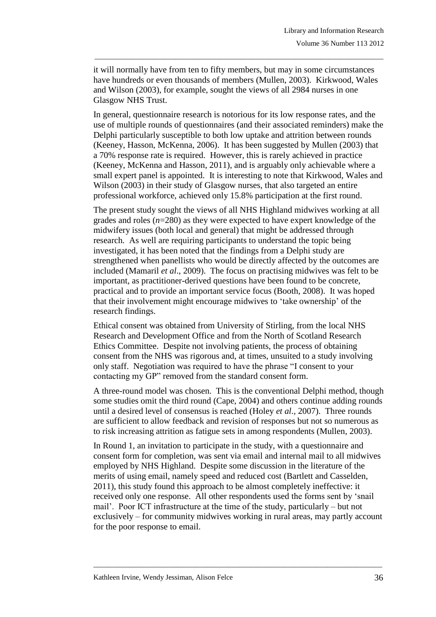it will normally have from ten to fifty members, but may in some circumstances have hundreds or even thousands of members (Mullen, 2003). Kirkwood, Wales and Wilson (2003), for example, sought the views of all 2984 nurses in one Glasgow NHS Trust.

\_\_\_\_\_\_\_\_\_\_\_\_\_\_\_\_\_\_\_\_\_\_\_\_\_\_\_\_\_\_\_\_\_\_\_\_\_\_\_\_\_\_\_\_\_\_\_\_\_\_\_\_\_\_\_\_\_\_\_\_\_\_\_\_\_\_\_\_\_\_\_\_\_\_\_\_\_\_\_

In general, questionnaire research is notorious for its low response rates, and the use of multiple rounds of questionnaires (and their associated reminders) make the Delphi particularly susceptible to both low uptake and attrition between rounds (Keeney, Hasson, McKenna, 2006). It has been suggested by Mullen (2003) that a 70% response rate is required. However, this is rarely achieved in practice (Keeney, McKenna and Hasson, 2011), and is arguably only achievable where a small expert panel is appointed. It is interesting to note that Kirkwood, Wales and Wilson (2003) in their study of Glasgow nurses, that also targeted an entire professional workforce, achieved only 15.8% participation at the first round.

The present study sought the views of all NHS Highland midwives working at all grades and roles (*n*=280) as they were expected to have expert knowledge of the midwifery issues (both local and general) that might be addressed through research. As well are requiring participants to understand the topic being investigated, it has been noted that the findings from a Delphi study are strengthened when panellists who would be directly affected by the outcomes are included (Mamaril *et al*., 2009). The focus on practising midwives was felt to be important, as practitioner-derived questions have been found to be concrete, practical and to provide an important service focus (Booth, 2008). It was hoped that their involvement might encourage midwives to 'take ownership' of the research findings.

Ethical consent was obtained from University of Stirling, from the local NHS Research and Development Office and from the North of Scotland Research Ethics Committee. Despite not involving patients, the process of obtaining consent from the NHS was rigorous and, at times, unsuited to a study involving only staff. Negotiation was required to have the phrase "I consent to your contacting my GP" removed from the standard consent form.

A three-round model was chosen. This is the conventional Delphi method, though some studies omit the third round (Cape, 2004) and others continue adding rounds until a desired level of consensus is reached (Holey *et al*., 2007). Three rounds are sufficient to allow feedback and revision of responses but not so numerous as to risk increasing attrition as fatigue sets in among respondents (Mullen, 2003).

In Round 1, an invitation to participate in the study, with a questionnaire and consent form for completion, was sent via email and internal mail to all midwives employed by NHS Highland. Despite some discussion in the literature of the merits of using email, namely speed and reduced cost (Bartlett and Casselden, 2011), this study found this approach to be almost completely ineffective: it received only one response. All other respondents used the forms sent by 'snail mail'. Poor ICT infrastructure at the time of the study, particularly – but not exclusively – for community midwives working in rural areas, may partly account for the poor response to email.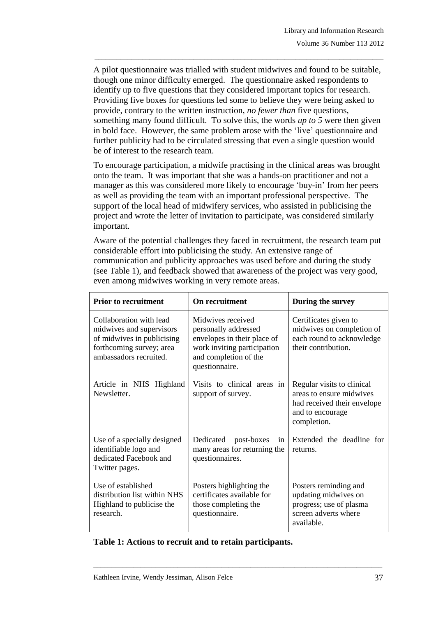A pilot questionnaire was trialled with student midwives and found to be suitable, though one minor difficulty emerged. The questionnaire asked respondents to identify up to five questions that they considered important topics for research. Providing five boxes for questions led some to believe they were being asked to provide, contrary to the written instruction, *no fewer than* five questions, something many found difficult. To solve this, the words *up to 5* were then given in bold face. However, the same problem arose with the 'live' questionnaire and further publicity had to be circulated stressing that even a single question would be of interest to the research team.

\_\_\_\_\_\_\_\_\_\_\_\_\_\_\_\_\_\_\_\_\_\_\_\_\_\_\_\_\_\_\_\_\_\_\_\_\_\_\_\_\_\_\_\_\_\_\_\_\_\_\_\_\_\_\_\_\_\_\_\_\_\_\_\_\_\_\_\_\_\_\_\_\_\_\_\_\_\_\_

To encourage participation, a midwife practising in the clinical areas was brought onto the team. It was important that she was a hands-on practitioner and not a manager as this was considered more likely to encourage 'buy-in' from her peers as well as providing the team with an important professional perspective. The support of the local head of midwifery services, who assisted in publicising the project and wrote the letter of invitation to participate, was considered similarly important.

Aware of the potential challenges they faced in recruitment, the research team put considerable effort into publicising the study. An extensive range of communication and publicity approaches was used before and during the study (see Table 1), and feedback showed that awareness of the project was very good, even among midwives working in very remote areas.

| <b>Prior to recruitment</b>                                                                                                             | On recruitment                                                                                                                                     | During the survey                                                                                                        |  |
|-----------------------------------------------------------------------------------------------------------------------------------------|----------------------------------------------------------------------------------------------------------------------------------------------------|--------------------------------------------------------------------------------------------------------------------------|--|
| Collaboration with lead<br>midwives and supervisors<br>of midwives in publicising<br>forthcoming survey; area<br>ambassadors recruited. | Midwives received<br>personally addressed<br>envelopes in their place of<br>work inviting participation<br>and completion of the<br>questionnaire. | Certificates given to<br>midwives on completion of<br>each round to acknowledge<br>their contribution.                   |  |
| Article in NHS Highland<br>Newsletter.                                                                                                  | Visits to clinical areas in<br>support of survey.                                                                                                  | Regular visits to clinical<br>areas to ensure midwives<br>had received their envelope<br>and to encourage<br>completion. |  |
| Use of a specially designed<br>identifiable logo and<br>dedicated Facebook and<br>Twitter pages.                                        | Dedicated<br>post-boxes<br>1n<br>many areas for returning the<br>questionnaires.                                                                   | Extended the deadline for<br>returns.                                                                                    |  |
| Use of established<br>distribution list within NHS<br>Highland to publicise the<br>research.                                            | Posters highlighting the<br>certificates available for<br>those completing the<br>questionnaire.                                                   | Posters reminding and<br>updating midwives on<br>progress; use of plasma<br>screen adverts where<br>available.           |  |

\_\_\_\_\_\_\_\_\_\_\_\_\_\_\_\_\_\_\_\_\_\_\_\_\_\_\_\_\_\_\_\_\_\_\_\_\_\_\_\_\_\_\_\_\_\_\_\_\_\_\_\_\_\_\_\_\_\_\_\_\_\_\_\_\_\_\_\_\_\_\_\_\_\_\_\_\_\_\_

### **Table 1: Actions to recruit and to retain participants.**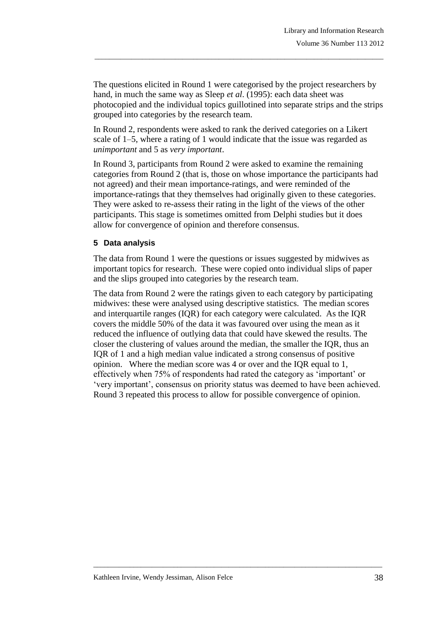The questions elicited in Round 1 were categorised by the project researchers by hand, in much the same way as Sleep *et al*. (1995): each data sheet was photocopied and the individual topics guillotined into separate strips and the strips grouped into categories by the research team.

\_\_\_\_\_\_\_\_\_\_\_\_\_\_\_\_\_\_\_\_\_\_\_\_\_\_\_\_\_\_\_\_\_\_\_\_\_\_\_\_\_\_\_\_\_\_\_\_\_\_\_\_\_\_\_\_\_\_\_\_\_\_\_\_\_\_\_\_\_\_\_\_\_\_\_\_\_\_\_

In Round 2, respondents were asked to rank the derived categories on a Likert scale of 1–5, where a rating of 1 would indicate that the issue was regarded as *unimportant* and 5 as *very important*.

In Round 3, participants from Round 2 were asked to examine the remaining categories from Round 2 (that is, those on whose importance the participants had not agreed) and their mean importance-ratings, and were reminded of the importance-ratings that they themselves had originally given to these categories. They were asked to re-assess their rating in the light of the views of the other participants. This stage is sometimes omitted from Delphi studies but it does allow for convergence of opinion and therefore consensus.

### **5 Data analysis**

The data from Round 1 were the questions or issues suggested by midwives as important topics for research. These were copied onto individual slips of paper and the slips grouped into categories by the research team.

The data from Round 2 were the ratings given to each category by participating midwives: these were analysed using descriptive statistics. The median scores and interquartile ranges (IQR) for each category were calculated. As the IQR covers the middle 50% of the data it was favoured over using the mean as it reduced the influence of outlying data that could have skewed the results. The closer the clustering of values around the median, the smaller the IQR, thus an IQR of 1 and a high median value indicated a strong consensus of positive opinion. Where the median score was 4 or over and the IQR equal to 1, effectively when 75% of respondents had rated the category as 'important' or 'very important', consensus on priority status was deemed to have been achieved. Round 3 repeated this process to allow for possible convergence of opinion.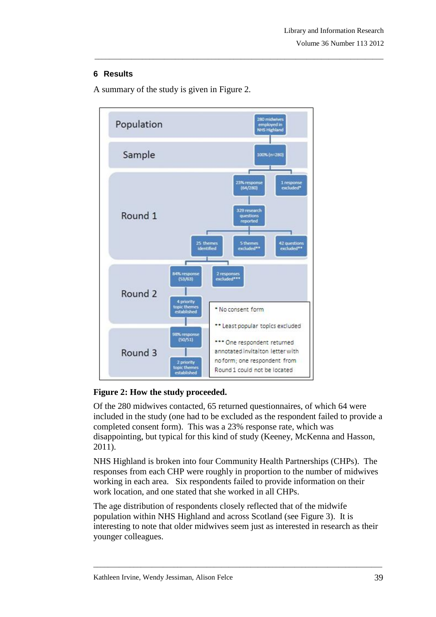## **6 Results**



\_\_\_\_\_\_\_\_\_\_\_\_\_\_\_\_\_\_\_\_\_\_\_\_\_\_\_\_\_\_\_\_\_\_\_\_\_\_\_\_\_\_\_\_\_\_\_\_\_\_\_\_\_\_\_\_\_\_\_\_\_\_\_\_\_\_\_\_\_\_\_\_\_\_\_\_\_\_\_

A summary of the study is given in Figure 2.

# **Figure 2: How the study proceeded.**

Of the 280 midwives contacted, 65 returned questionnaires, of which 64 were included in the study (one had to be excluded as the respondent failed to provide a completed consent form). This was a 23% response rate, which was disappointing, but typical for this kind of study (Keeney, McKenna and Hasson, 2011).

NHS Highland is broken into four Community Health Partnerships (CHPs). The responses from each CHP were roughly in proportion to the number of midwives working in each area. Six respondents failed to provide information on their work location, and one stated that she worked in all CHPs.

The age distribution of respondents closely reflected that of the midwife population within NHS Highland and across Scotland (see Figure 3). It is interesting to note that older midwives seem just as interested in research as their younger colleagues.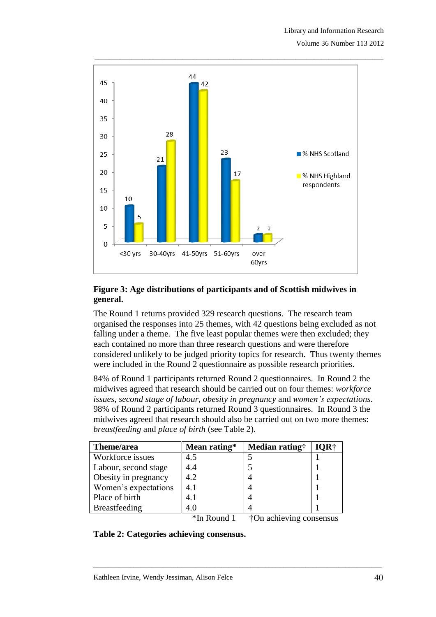

## **Figure 3: Age distributions of participants and of Scottish midwives in general.**

The Round 1 returns provided 329 research questions. The research team organised the responses into 25 themes, with 42 questions being excluded as not falling under a theme. The five least popular themes were then excluded; they each contained no more than three research questions and were therefore considered unlikely to be judged priority topics for research. Thus twenty themes were included in the Round 2 questionnaire as possible research priorities.

84% of Round 1 participants returned Round 2 questionnaires. In Round 2 the midwives agreed that research should be carried out on four themes: *workforce issues*, *second stage of labour*, *obesity in pregnancy* and *women's expectations*. 98% of Round 2 participants returned Round 3 questionnaires. In Round 3 the midwives agreed that research should also be carried out on two more themes: *breastfeeding* and *place of birth* (see Table 2).

\_\_\_\_\_\_\_\_\_\_\_\_\_\_\_\_\_\_\_\_\_\_\_\_\_\_\_\_\_\_\_\_\_\_\_\_\_\_\_\_\_\_\_\_\_\_\_\_\_\_\_\_\_\_\_\_\_\_\_\_\_\_\_\_\_\_\_\_\_\_\_\_\_\_\_\_\_\_\_

| Theme/area           | Mean rating* | Median rating† | OR† |
|----------------------|--------------|----------------|-----|
| Workforce issues     | 4.5          |                |     |
| Labour, second stage | 4.4          |                |     |
| Obesity in pregnancy | 4.2          |                |     |
| Women's expectations | 4.1          |                |     |
| Place of birth       | 4.1          |                |     |
| <b>Breastfeeding</b> | 4.0          |                |     |

\*In Round 1 †On achieving consensus

**Table 2: Categories achieving consensus.**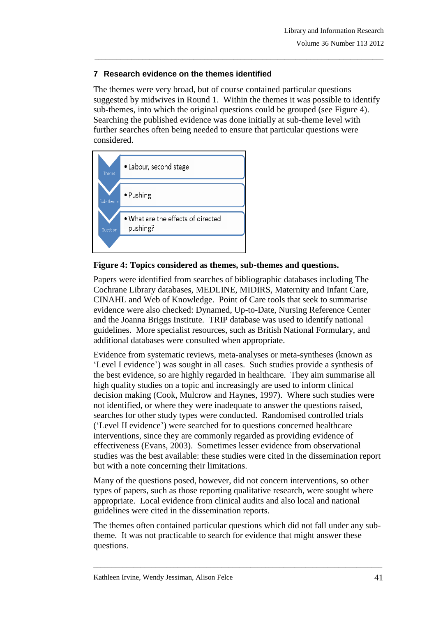## **7 Research evidence on the themes identified**

The themes were very broad, but of course contained particular questions suggested by midwives in Round 1. Within the themes it was possible to identify sub-themes, into which the original questions could be grouped (see Figure 4). Searching the published evidence was done initially at sub-theme level with further searches often being needed to ensure that particular questions were considered.

\_\_\_\_\_\_\_\_\_\_\_\_\_\_\_\_\_\_\_\_\_\_\_\_\_\_\_\_\_\_\_\_\_\_\_\_\_\_\_\_\_\_\_\_\_\_\_\_\_\_\_\_\_\_\_\_\_\_\_\_\_\_\_\_\_\_\_\_\_\_\_\_\_\_\_\_\_\_\_



# **Figure 4: Topics considered as themes, sub-themes and questions.**

Papers were identified from searches of bibliographic databases including The Cochrane Library databases, MEDLINE, MIDIRS, Maternity and Infant Care, CINAHL and Web of Knowledge. Point of Care tools that seek to summarise evidence were also checked: Dynamed, Up-to-Date, Nursing Reference Center and the Joanna Briggs Institute. TRIP database was used to identify national guidelines. More specialist resources, such as British National Formulary, and additional databases were consulted when appropriate.

Evidence from systematic reviews, meta-analyses or meta-syntheses (known as 'Level I evidence') was sought in all cases. Such studies provide a synthesis of the best evidence, so are highly regarded in healthcare. They aim summarise all high quality studies on a topic and increasingly are used to inform clinical decision making (Cook, Mulcrow and Haynes, 1997). Where such studies were not identified, or where they were inadequate to answer the questions raised, searches for other study types were conducted. Randomised controlled trials ('Level II evidence') were searched for to questions concerned healthcare interventions, since they are commonly regarded as providing evidence of effectiveness (Evans, 2003). Sometimes lesser evidence from observational studies was the best available: these studies were cited in the dissemination report but with a note concerning their limitations.

Many of the questions posed, however, did not concern interventions, so other types of papers, such as those reporting qualitative research, were sought where appropriate. Local evidence from clinical audits and also local and national guidelines were cited in the dissemination reports.

The themes often contained particular questions which did not fall under any subtheme. It was not practicable to search for evidence that might answer these questions.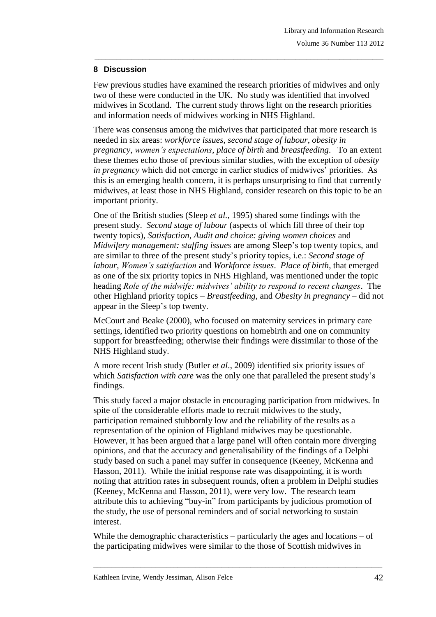## **8 Discussion**

Few previous studies have examined the research priorities of midwives and only two of these were conducted in the UK. No study was identified that involved midwives in Scotland. The current study throws light on the research priorities and information needs of midwives working in NHS Highland.

\_\_\_\_\_\_\_\_\_\_\_\_\_\_\_\_\_\_\_\_\_\_\_\_\_\_\_\_\_\_\_\_\_\_\_\_\_\_\_\_\_\_\_\_\_\_\_\_\_\_\_\_\_\_\_\_\_\_\_\_\_\_\_\_\_\_\_\_\_\_\_\_\_\_\_\_\_\_\_

There was consensus among the midwives that participated that more research is needed in six areas: *workforce issues*, *second stage of labour*, *obesity in pregnancy*, *women's expectations*, *place of birth* and *breastfeeding*. To an extent these themes echo those of previous similar studies, with the exception of *obesity in pregnancy* which did not emerge in earlier studies of midwives' priorities. As this is an emerging health concern, it is perhaps unsurprising to find that currently midwives, at least those in NHS Highland, consider research on this topic to be an important priority.

One of the British studies (Sleep *et al.*, 1995) shared some findings with the present study. *Second stage of labour* (aspects of which fill three of their top twenty topics), *Satisfaction*, *Audit and choice: giving women choices* and *Midwifery management: staffing issues* are among Sleep's top twenty topics, and are similar to three of the present study's priority topics, i.e.: *Second stage of labour*, *Women's satisfaction* and *Workforce issues*. *Place of birth*, that emerged as one of the six priority topics in NHS Highland, was mentioned under the topic heading *Role of the midwife: midwives' ability to respond to recent changes*. The other Highland priority topics – *Breastfeeding*, and *Obesity in pregnancy* – did not appear in the Sleep's top twenty.

McCourt and Beake (2000), who focused on maternity services in primary care settings, identified two priority questions on homebirth and one on community support for breastfeeding; otherwise their findings were dissimilar to those of the NHS Highland study.

A more recent Irish study (Butler *et al*., 2009) identified six priority issues of which *Satisfaction with care* was the only one that paralleled the present study's findings.

This study faced a major obstacle in encouraging participation from midwives. In spite of the considerable efforts made to recruit midwives to the study, participation remained stubbornly low and the reliability of the results as a representation of the opinion of Highland midwives may be questionable. However, it has been argued that a large panel will often contain more diverging opinions, and that the accuracy and generalisability of the findings of a Delphi study based on such a panel may suffer in consequence (Keeney, McKenna and Hasson, 2011). While the initial response rate was disappointing, it is worth noting that attrition rates in subsequent rounds, often a problem in Delphi studies (Keeney, McKenna and Hasson, 2011), were very low. The research team attribute this to achieving "buy-in" from participants by judicious promotion of the study, the use of personal reminders and of social networking to sustain interest.

While the demographic characteristics – particularly the ages and locations – of the participating midwives were similar to the those of Scottish midwives in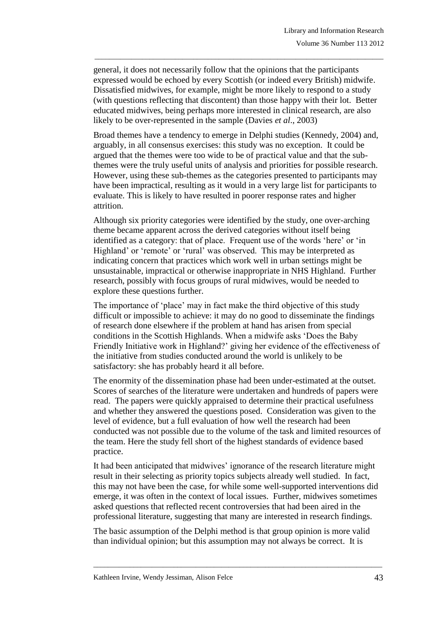general, it does not necessarily follow that the opinions that the participants expressed would be echoed by every Scottish (or indeed every British) midwife. Dissatisfied midwives, for example, might be more likely to respond to a study (with questions reflecting that discontent) than those happy with their lot. Better educated midwives, being perhaps more interested in clinical research, are also likely to be over-represented in the sample (Davies *et al*., 2003)

\_\_\_\_\_\_\_\_\_\_\_\_\_\_\_\_\_\_\_\_\_\_\_\_\_\_\_\_\_\_\_\_\_\_\_\_\_\_\_\_\_\_\_\_\_\_\_\_\_\_\_\_\_\_\_\_\_\_\_\_\_\_\_\_\_\_\_\_\_\_\_\_\_\_\_\_\_\_\_

Broad themes have a tendency to emerge in Delphi studies (Kennedy, 2004) and, arguably, in all consensus exercises: this study was no exception. It could be argued that the themes were too wide to be of practical value and that the subthemes were the truly useful units of analysis and priorities for possible research. However, using these sub-themes as the categories presented to participants may have been impractical, resulting as it would in a very large list for participants to evaluate. This is likely to have resulted in poorer response rates and higher attrition.

Although six priority categories were identified by the study, one over-arching theme became apparent across the derived categories without itself being identified as a category: that of place. Frequent use of the words 'here' or 'in Highland' or 'remote' or 'rural' was observed. This may be interpreted as indicating concern that practices which work well in urban settings might be unsustainable, impractical or otherwise inappropriate in NHS Highland. Further research, possibly with focus groups of rural midwives, would be needed to explore these questions further.

The importance of 'place' may in fact make the third objective of this study difficult or impossible to achieve: it may do no good to disseminate the findings of research done elsewhere if the problem at hand has arisen from special conditions in the Scottish Highlands. When a midwife asks 'Does the Baby Friendly Initiative work in Highland?' giving her evidence of the effectiveness of the initiative from studies conducted around the world is unlikely to be satisfactory: she has probably heard it all before.

The enormity of the dissemination phase had been under-estimated at the outset. Scores of searches of the literature were undertaken and hundreds of papers were read. The papers were quickly appraised to determine their practical usefulness and whether they answered the questions posed. Consideration was given to the level of evidence, but a full evaluation of how well the research had been conducted was not possible due to the volume of the task and limited resources of the team. Here the study fell short of the highest standards of evidence based practice.

It had been anticipated that midwives' ignorance of the research literature might result in their selecting as priority topics subjects already well studied. In fact, this may not have been the case, for while some well-supported interventions did emerge, it was often in the context of local issues. Further, midwives sometimes asked questions that reflected recent controversies that had been aired in the professional literature, suggesting that many are interested in research findings.

The basic assumption of the Delphi method is that group opinion is more valid than individual opinion; but this assumption may not always be correct. It is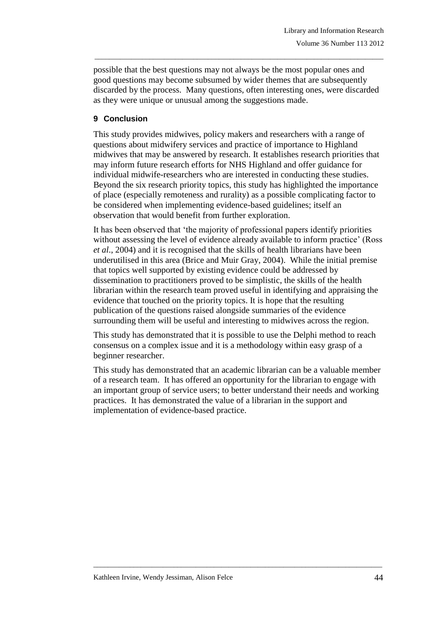possible that the best questions may not always be the most popular ones and good questions may become subsumed by wider themes that are subsequently discarded by the process. Many questions, often interesting ones, were discarded as they were unique or unusual among the suggestions made.

\_\_\_\_\_\_\_\_\_\_\_\_\_\_\_\_\_\_\_\_\_\_\_\_\_\_\_\_\_\_\_\_\_\_\_\_\_\_\_\_\_\_\_\_\_\_\_\_\_\_\_\_\_\_\_\_\_\_\_\_\_\_\_\_\_\_\_\_\_\_\_\_\_\_\_\_\_\_\_

# **9 Conclusion**

This study provides midwives, policy makers and researchers with a range of questions about midwifery services and practice of importance to Highland midwives that may be answered by research. It establishes research priorities that may inform future research efforts for NHS Highland and offer guidance for individual midwife-researchers who are interested in conducting these studies. Beyond the six research priority topics, this study has highlighted the importance of place (especially remoteness and rurality) as a possible complicating factor to be considered when implementing evidence-based guidelines; itself an observation that would benefit from further exploration.

It has been observed that 'the majority of professional papers identify priorities without assessing the level of evidence already available to inform practice' (Ross *et al*., 2004) and it is recognised that the skills of health librarians have been underutilised in this area (Brice and Muir Gray, 2004). While the initial premise that topics well supported by existing evidence could be addressed by dissemination to practitioners proved to be simplistic, the skills of the health librarian within the research team proved useful in identifying and appraising the evidence that touched on the priority topics. It is hope that the resulting publication of the questions raised alongside summaries of the evidence surrounding them will be useful and interesting to midwives across the region.

This study has demonstrated that it is possible to use the Delphi method to reach consensus on a complex issue and it is a methodology within easy grasp of a beginner researcher.

This study has demonstrated that an academic librarian can be a valuable member of a research team. It has offered an opportunity for the librarian to engage with an important group of service users; to better understand their needs and working practices. It has demonstrated the value of a librarian in the support and implementation of evidence-based practice.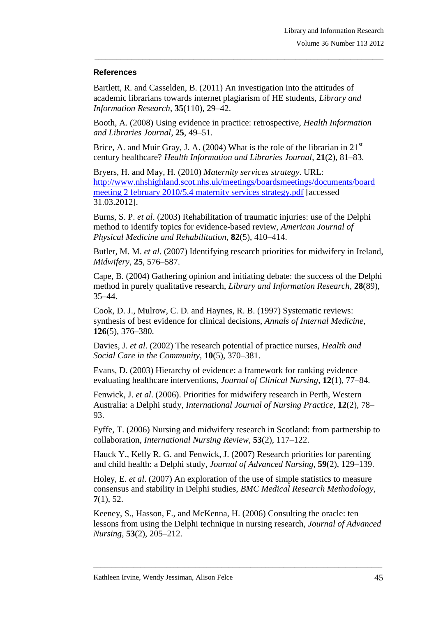### **References**

Bartlett, R. and Casselden, B. (2011) An investigation into the attitudes of academic librarians towards internet plagiarism of HE students, *Library and Information Research*, **35**(110), 29–42.

\_\_\_\_\_\_\_\_\_\_\_\_\_\_\_\_\_\_\_\_\_\_\_\_\_\_\_\_\_\_\_\_\_\_\_\_\_\_\_\_\_\_\_\_\_\_\_\_\_\_\_\_\_\_\_\_\_\_\_\_\_\_\_\_\_\_\_\_\_\_\_\_\_\_\_\_\_\_\_

Booth, A. (2008) Using evidence in practice: retrospective, *Health Information and Libraries Journal*, **25**, 49–51.

Brice, A. and Muir Gray, J. A. (2004) What is the role of the librarian in  $21<sup>st</sup>$ century healthcare? *Health Information and Libraries Journal*, **21**(2), 81–83.

Bryers, H. and May, H. (2010) *Maternity services strategy*. URL: [http://www.nhshighland.scot.nhs.uk/meetings/boardsmeetings/documents/board](http://www.nhshighland.scot.nhs.uk/meetings/boardsmeetings/documents/board%20meeting%202%20february%202010/5.4%20maternity%20services%20strategy.pdf)  [meeting 2 february 2010/5.4 maternity services strategy.pdf](http://www.nhshighland.scot.nhs.uk/meetings/boardsmeetings/documents/board%20meeting%202%20february%202010/5.4%20maternity%20services%20strategy.pdf) [accessed 31.03.2012].

Burns, S. P. *et al*. (2003) Rehabilitation of traumatic injuries: use of the Delphi method to identify topics for evidence-based review, *American Journal of Physical Medicine and Rehabilitation*, **82**(5), 410–414.

Butler, M. M. *et al*. (2007) Identifying research priorities for midwifery in Ireland, *Midwifery*, **25**, 576–587.

Cape, B. (2004) Gathering opinion and initiating debate: the success of the Delphi method in purely qualitative research, *Library and Information Research*, **28**(89), 35–44.

Cook, D. J., Mulrow, C. D. and Haynes, R. B. (1997) Systematic reviews: synthesis of best evidence for clinical decisions, *Annals of Internal Medicine*, **126**(5), 376–380.

Davies, J. *et al*. (2002) The research potential of practice nurses, *Health and Social Care in the Community*, **10**(5), 370–381.

Evans, D. (2003) Hierarchy of evidence: a framework for ranking evidence evaluating healthcare interventions, *Journal of Clinical Nursing*, **12**(1), 77–84.

Fenwick, J. *et al*. (2006). Priorities for midwifery research in Perth, Western Australia: a Delphi study, *International Journal of Nursing Practice*, **12**(2), 78– 93.

Fyffe, T. (2006) Nursing and midwifery research in Scotland: from partnership to collaboration, *International Nursing Review*, **53**(2), 117–122.

Hauck Y., Kelly R. G. and Fenwick, J. (2007) Research priorities for parenting and child health: a Delphi study, *Journal of Advanced Nursing*, **59**(2), 129–139.

Holey, E. *et al*. (2007) An exploration of the use of simple statistics to measure consensus and stability in Delphi studies, *BMC Medical Research Methodology*, **7**(1), 52.

Keeney, S., Hasson, F., and McKenna, H. (2006) Consulting the oracle: ten lessons from using the Delphi technique in nursing research, *Journal of Advanced Nursing*, **53**(2), 205–212.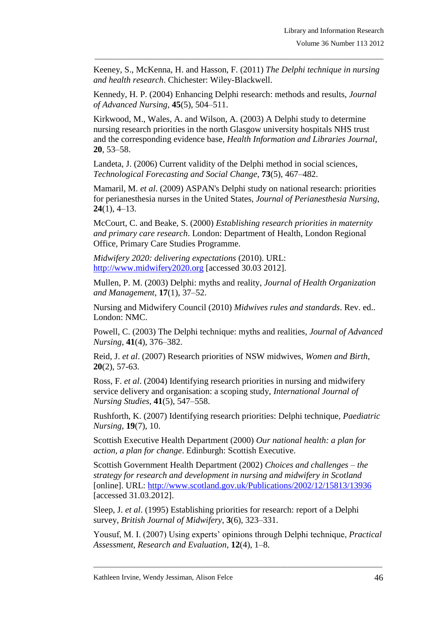Keeney, S., McKenna, H. and Hasson, F. (2011) *The Delphi technique in nursing and health research*. Chichester: Wiley-Blackwell.

\_\_\_\_\_\_\_\_\_\_\_\_\_\_\_\_\_\_\_\_\_\_\_\_\_\_\_\_\_\_\_\_\_\_\_\_\_\_\_\_\_\_\_\_\_\_\_\_\_\_\_\_\_\_\_\_\_\_\_\_\_\_\_\_\_\_\_\_\_\_\_\_\_\_\_\_\_\_\_

Kennedy, H. P. (2004) Enhancing Delphi research: methods and results, *Journal of Advanced Nursing*, **45**(5), 504–511.

Kirkwood, M., Wales, A. and Wilson, A. (2003) A Delphi study to determine nursing research priorities in the north Glasgow university hospitals NHS trust and the corresponding evidence base, *Health Information and Libraries Journal*, **20**, 53–58.

Landeta, J. (2006) Current validity of the Delphi method in social sciences, *Technological Forecasting and Social Change*, **73**(5), 467–482.

Mamaril, M. *et al*. (2009) ASPAN's Delphi study on national research: priorities for perianesthesia nurses in the United States, *Journal of Perianesthesia Nursing*, **24**(1), 4–13.

McCourt, C. and Beake, S. (2000) *Establishing research priorities in maternity and primary care research*. London: Department of Health, London Regional Office, Primary Care Studies Programme.

*Midwifery 2020: delivering expectations* (2010). URL: [http://www.midwifery2020.org](http://www.midwifery2020.org/) [accessed 30.03 2012].

Mullen, P. M. (2003) Delphi: myths and reality, *Journal of Health Organization and Management*, **17**(1), 37–52.

Nursing and Midwifery Council (2010) *Midwives rules and standards*. Rev. ed.. London: NMC.

Powell, C. (2003) The Delphi technique: myths and realities, *Journal of Advanced Nursing*, **41**(4), 376–382.

Reid, J. *et al*. (2007) Research priorities of NSW midwives, *Women and Birth*, **20**(2), 57-63.

Ross, F. *et al*. (2004) Identifying research priorities in nursing and midwifery service delivery and organisation: a scoping study, *International Journal of Nursing Studies*, **41**(5), 547–558.

Rushforth, K. (2007) Identifying research priorities: Delphi technique, *Paediatric Nursing*, **19**(7), 10.

Scottish Executive Health Department (2000) *Our national health: a plan for action, a plan for change*. Edinburgh: Scottish Executive.

Scottish Government Health Department (2002) *Choices and challenges – the strategy for research and development in nursing and midwifery in Scotland* [online]. URL: <http://www.scotland.gov.uk/Publications/2002/12/15813/13936> [accessed 31.03.2012].

Sleep, J. *et al*. (1995) Establishing priorities for research: report of a Delphi survey, *British Journal of Midwifery*, **3**(6), 323–331.

Yousuf, M. I. (2007) Using experts' opinions through Delphi technique, *Practical Assessment, Research and Evaluation*, **12**(4), 1–8.